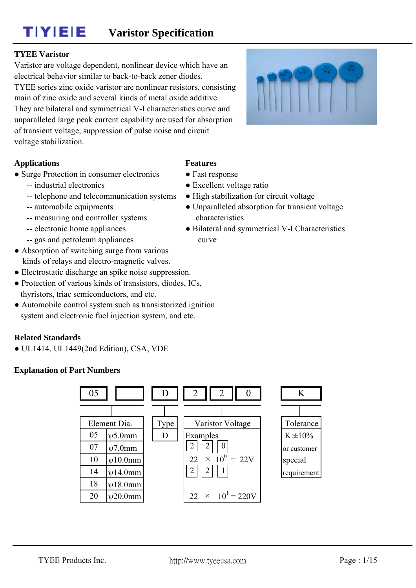TIYIEIE **Varistor Specification**

#### **TYEE Varistor**

Varistor are voltage dependent, nonlinear device which have an electrical behavior similar to back-to-back zener diodes. TYEE series zinc oxide varistor are nonlinear resistors, consisting main of zinc oxide and several kinds of metal oxide additive. They are bilateral and symmetrical V-I characteristics curve and unparalleled large peak current capability are used for absorption of transient voltage, suppression of pulse noise and circuit voltage stabilization.

#### **Applications Features**

- Surge Protection in consumer electronics Fast response
	- -- industrial electronics <br>
	 Excellent voltage ratio
	- -- telephone and telecommunication systems High stabilization for circuit voltage
	- -- automobile equipments Unparalleled absorption for transient voltage
	- -- measuring and controller systems characteristics
	-
	- -- gas and petroleum appliances curve
- Absorption of switching surge from various kinds of relays and electro-magnetic valves.
- Electrostatic discharge an spike noise suppression.
- Protection of various kinds of transistors, diodes, ICs, thyristors, triac semiconductors, and etc.
- Automobile control system such as transistorized ignition system and electronic fuel injection system, and etc.

### **Related Standards**

● UL1414, UL1449(2nd Edition), CSA, VDE

#### **Explanation of Part Numbers**

#### 05 D 2 2 0 Element Dia. | Type 05  $\vert \psi$ 5.0mm D Examples K: $\pm 10\%$ 07 ψ7.0mm 10  $\sqrt{10.0mm}$  22 × 10<sup>0</sup> = 22V special 14 ψ14.0mm 18 ψ18.0mm 20  $|\psi 20.0$ mm 22  $\times$  $10^1$  = 220V Varistor Voltage requirement Tolerance K or customer 2 2 0  $\overline{2}$   $\overline{2}$   $\overline{1}$

-- electronic home appliances <br>
• Bilateral and symmetrical V-I Characteristics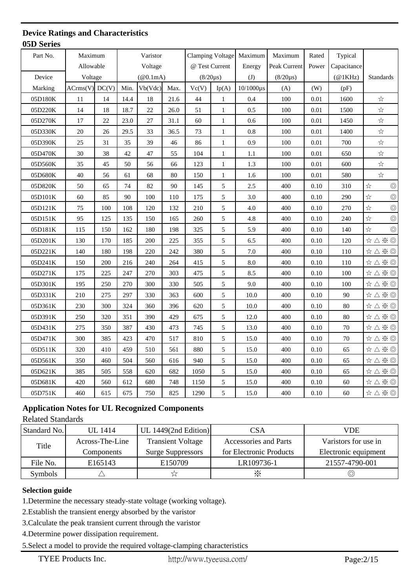#### **Device Ratings and Characteristics 05D Series**

| Part No. | Maximum            |     |      | Varistor                        |      |       | <b>Clamping Voltage</b> | Maximum         | Maximum        | Rated | Typical         |                                                                                                      |
|----------|--------------------|-----|------|---------------------------------|------|-------|-------------------------|-----------------|----------------|-------|-----------------|------------------------------------------------------------------------------------------------------|
|          | Allowable          |     |      | Voltage                         |      |       | @ Test Current          | Energy          | Peak Current   | Power | Capacitance     |                                                                                                      |
| Device   | Voltage            |     |      | $(\text{\textcircled{a}0.1mA})$ |      |       | $(8/20 \mu s)$          | (J)             | $(8/20 \mu s)$ |       | $(\omega$ 1KHz) | <b>Standards</b>                                                                                     |
| Marking  | $ACrms(V)$ $DC(V)$ |     | Min. | Vb(Vdc)                         | Max. | Vc(V) | Ip(A)                   | $10/1000 \mu s$ | (A)            | (W)   | (pF)            |                                                                                                      |
| 05D180K  | 11                 | 14  | 14.4 | 18                              | 21.6 | 44    | $\mathbf{1}$            | 0.4             | 100            | 0.01  | 1600            | $\stackrel{\wedge}{\bowtie}$                                                                         |
| 05D220K  | 14                 | 18  | 18.7 | 22                              | 26.0 | 51    | $\mathbf{1}$            | 0.5             | 100            | 0.01  | 1500            | $\frac{1}{\sqrt{2}}$                                                                                 |
| 05D270K  | 17                 | 22  | 23.0 | 27                              | 31.1 | 60    | $\mathbf{1}$            | 0.6             | 100            | 0.01  | 1450            | $\stackrel{\wedge}{\bowtie}$                                                                         |
| 05D330K  | 20                 | 26  | 29.5 | 33                              | 36.5 | 73    | $\mathbf{1}$            | 0.8             | 100            | 0.01  | 1400            | $\stackrel{\wedge}{\bowtie}$                                                                         |
| 05D390K  | 25                 | 31  | 35   | 39                              | 46   | 86    | $\mathbf{1}$            | 0.9             | 100            | 0.01  | 700             | $\stackrel{\wedge}{\bowtie}$                                                                         |
| 05D470K  | 30                 | 38  | 42   | 47                              | 55   | 104   | $\mathbf{1}$            | 1.1             | 100            | 0.01  | 650             | $\stackrel{\wedge}{\bowtie}$                                                                         |
| 05D560K  | 35                 | 45  | 50   | 56                              | 66   | 123   | $\mathbf{1}$            | 1.3             | 100            | 0.01  | 600             | $\stackrel{\wedge}{\bowtie}$                                                                         |
| 05D680K  | 40                 | 56  | 61   | 68                              | 80   | 150   | $\mathbf{1}$            | 1.6             | 100            | 0.01  | 580             | $\frac{1}{\sqrt{2}}$                                                                                 |
| 05D820K  | 50                 | 65  | 74   | 82                              | 90   | 145   | 5                       | 2.5             | 400            | 0.10  | 310             | ☆<br>$\circledcirc$                                                                                  |
| 05D101K  | 60                 | 85  | 90   | 100                             | 110  | 175   | 5                       | 3.0             | 400            | 0.10  | 290             | $x^2$<br>$\circledcirc$                                                                              |
| 05D121K  | 75                 | 100 | 108  | 120                             | 132  | 210   | 5                       | 4.0             | 400            | 0.10  | 270             | $\overleftrightarrow{x}$<br>$\circledcirc$                                                           |
| 05D151K  | 95                 | 125 | 135  | 150                             | 165  | 260   | 5                       | 4.8             | 400            | 0.10  | 240             | $\overleftrightarrow{x}$<br>$\circledcirc$                                                           |
| 05D181K  | 115                | 150 | 162  | 180                             | 198  | 325   | 5                       | 5.9             | 400            | 0.10  | 140             | $\frac{1}{\lambda}$<br>$\circledcirc$                                                                |
| 05D201K  | 130                | 170 | 185  | 200                             | 225  | 355   | 5                       | 6.5             | 400            | 0.10  | 120             | $\stackrel{\leftrightarrow}{\alpha} \triangle \stackrel{\times}{\gg} \circledcirc$                   |
| 05D221K  | 140                | 180 | 198  | 220                             | 242  | 380   | 5                       | 7.0             | 400            | 0.10  | 110             | $\quad \  \  \, \forall x \wedge x \in \mathbb{R}$                                                   |
| 05D241K  | 150                | 200 | 216  | 240                             | 264  | 415   | 5                       | 8.0             | 400            | 0.10  | 110             | $\stackrel{~}{\rtimes}\;\triangle \; {\stackrel{{\scriptstyle \times}}{\scriptstyle \times}}\;\odot$ |
| 05D271K  | 175                | 225 | 247  | 270                             | 303  | 475   | 5                       | 8.5             | 400            | 0.10  | 100             | $\stackrel{<}{\rtimes}\triangle \stackrel{<}{\rtimes} \textcircled{0}$                               |
| 05D301K  | 195                | 250 | 270  | 300                             | 330  | 505   | 5                       | 9.0             | 400            | 0.10  | 100             | $\quad \  \  \, \forall x \wedge x \in \mathbb{R}$                                                   |
| 05D331K  | 210                | 275 | 297  | 330                             | 363  | 600   | 5                       | 10.0            | 400            | 0.10  | 90              | $\quad \  \  \, \uparrow \Delta \times \odot$                                                        |
| 05D361K  | 230                | 300 | 324  | 360                             | 396  | 620   | 5                       | 10.0            | 400            | 0.10  | 80              | $\stackrel{<}{\rtimes}\triangle \stackrel{<}{\rtimes} \textcircled{0}$                               |
| 05D391K  | 250                | 320 | 351  | 390                             | 429  | 675   | 5                       | 12.0            | 400            | 0.10  | 80              | $\stackrel{<}{\rtimes}\triangle \stackrel{<}{\rtimes} \textcircled{0}$                               |
| 05D431K  | 275                | 350 | 387  | 430                             | 473  | 745   | 5                       | 13.0            | 400            | 0.10  | 70              | $\stackrel{~}{\rtimes}\;\triangle \; {\stackrel{{\scriptstyle \times}}{\scriptstyle \times}}\;\odot$ |
| 05D471K  | 300                | 385 | 423  | 470                             | 517  | 810   | 5                       | 15.0            | 400            | 0.10  | 70              | $\stackrel{<}{\rtimes}\triangle \stackrel{<}{\rtimes} \textcircled{0}$                               |
| 05D511K  | 320                | 410 | 459  | 510                             | 561  | 880   | 5                       | 15.0            | 400            | 0.10  | 65              | $\quad \  \  \, \forall x \wedge x \in \mathbb{R}$                                                   |
| 05D561K  | 350                | 460 | 504  | 560                             | 616  | 940   | 5                       | 15.0            | 400            | 0.10  | 65              | $\stackrel{~}{\rtimes}\;\triangle \; {\stackrel{{\scriptstyle \times}}{\scriptstyle \times}}\;\odot$ |
| 05D621K  | 385                | 505 | 558  | 620                             | 682  | 1050  | 5                       | 15.0            | 400            | 0.10  | 65              | $\forall\;\Delta\;\mathbb{X}\; \textcircled{\footnotesize{1}}$                                       |
| 05D681K  | 420                | 560 | 612  | 680                             | 748  | 1150  | 5                       | 15.0            | 400            | 0.10  | 60              | $\quad \  \  \, \forall x \in \mathbb{R} \Rightarrow x \in \mathbb{R}$                               |
| 05D751K  | 460                | 615 | 675  | 750                             | 825  | 1290  | 5                       | 15.0            | 400            | 0.10  | 60              | $\stackrel{~}{\rtimes}\;\triangle \; {\stackrel{{\scriptstyle \times}}{\scriptstyle \times}}\;\odot$ |

## **Application Notes for UL Recognized Components**

Related Standards

| Standard No.   | UL 1414             | UL $1449(2nd Edition)$   | CSA                     | VDE                  |
|----------------|---------------------|--------------------------|-------------------------|----------------------|
| Title          | Across-The-Line     | <b>Transient Voltage</b> | Accessories and Parts   | Varistors for use in |
|                | Components          | <b>Surge Suppressors</b> | for Electronic Products | Electronic equipment |
| File No.       | E <sub>165143</sub> | E <sub>150709</sub>      | LR109736-1              | 21557-4790-001       |
| <b>Symbols</b> |                     | ☆                        | $\times$                | (O)                  |

#### **Selection guide**

1.Determine the necessary steady-state voltage (working voltage).

2.Establish the transient energy absorbed by the varistor

3.Calculate the peak transient current through the varistor

4.Determine power dissipation requirement.

5.Select a model to provide the required voltage-clamping characteristics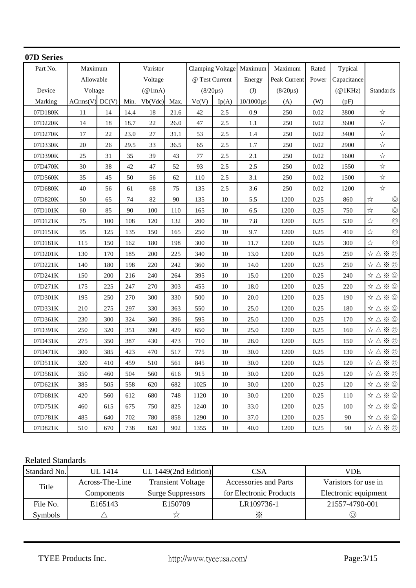| 07D Series |                    |     |      |               |      |                |                         |                 |                |       |                         |                                                                                    |
|------------|--------------------|-----|------|---------------|------|----------------|-------------------------|-----------------|----------------|-------|-------------------------|------------------------------------------------------------------------------------|
| Part No.   | Maximum            |     |      | Varistor      |      |                | <b>Clamping Voltage</b> | Maximum         | Maximum        | Rated | Typical                 |                                                                                    |
|            | Allowable          |     |      | Voltage       |      | @ Test Current |                         | Energy          | Peak Current   | Power | Capacitance             |                                                                                    |
| Device     | Voltage            |     |      | $(\omega 1m)$ |      | $(8/20 \mu s)$ |                         | (J)             | $(8/20 \mu s)$ |       | $(\textcircled{a}1KHz)$ | <b>Standards</b>                                                                   |
| Marking    | $ACrms(V)$ $DC(V)$ |     | Min. | Vb(Vdc)       | Max. | Vc(V)          | Ip(A)                   | $10/1000 \mu s$ | (A)            | (W)   | (pF)                    |                                                                                    |
| 07D180K    | 11                 | 14  | 14.4 | 18            | 21.6 | 42             | 2.5                     | 0.9             | 250            | 0.02  | 3800                    | $z^{\prime\hspace{-0.1cm}\prime}_{\hspace{-0.1cm}\prime\hspace{-0.1cm}\gamma}$     |
| 07D220K    | 14                 | 18  | 18.7 | 22            | 26.0 | 47             | 2.5                     | 1.1             | 250            | 0.02  | 3600                    | $\preccurlyeq_\sphericalangle$                                                     |
| 07D270K    | 17                 | 22  | 23.0 | 27            | 31.1 | 53             | 2.5                     | 1.4             | 250            | 0.02  | 3400                    | $\stackrel{\wedge}{\bowtie}$                                                       |
| 07D330K    | 20                 | 26  | 29.5 | 33            | 36.5 | 65             | 2.5                     | 1.7             | 250            | 0.02  | 2900                    | $\stackrel{\wedge}{\bowtie}$                                                       |
| 07D390K    | 25                 | 31  | 35   | 39            | 43   | 77             | 2.5                     | 2.1             | 250            | 0.02  | 1600                    | $\stackrel{\wedge}{\bowtie}$                                                       |
| 07D470K    | 30                 | 38  | 42   | 47            | 52   | 93             | 2.5                     | 2.5             | 250            | 0.02  | 1550                    | $\stackrel{\wedge}{\bowtie}$                                                       |
| 07D560K    | 35                 | 45  | 50   | 56            | 62   | 110            | 2.5                     | 3.1             | 250            | 0.02  | 1500                    | $\preccurlyeq_\sphericalangle$                                                     |
| 07D680K    | 40                 | 56  | 61   | 68            | 75   | 135            | 2.5                     | 3.6             | 250            | 0.02  | 1200                    | $\stackrel{\wedge}{\bowtie}$                                                       |
| 07D820K    | 50                 | 65  | 74   | 82            | 90   | 135            | 10                      | 5.5             | 1200           | 0.25  | 860                     | $\stackrel{\wedge}{\bowtie}$<br>$\circledcirc$                                     |
| 07D101K    | 60                 | 85  | 90   | 100           | 110  | 165            | 10                      | 6.5             | 1200           | 0.25  | 750                     | $\stackrel{\wedge}{\bowtie}$<br>$\circledcirc$                                     |
| 07D121K    | 75                 | 100 | 108  | 120           | 132  | 200            | 10                      | 7.8             | 1200           | 0.25  | 530                     | $\stackrel{\wedge}{\bowtie}$<br>$\circledcirc$                                     |
| 07D151K    | 95                 | 125 | 135  | 150           | 165  | 250            | 10                      | 9.7             | 1200           | 0.25  | 410                     | $\circledcirc$<br>$\stackrel{\wedge}{\bowtie}$                                     |
| 07D181K    | 115                | 150 | 162  | 180           | 198  | 300            | 10                      | 11.7            | 1200           | 0.25  | 300                     | $\stackrel{\wedge}{\bowtie}$<br>$\circledcirc$                                     |
| 07D201K    | 130                | 170 | 185  | 200           | 225  | 340            | 10                      | 13.0            | 1200           | 0.25  | 250                     | $\stackrel{\leftrightarrow}{\alpha} \triangle \stackrel{\times}{\gg} \circledcirc$ |
| 07D221K    | 140                | 180 | 198  | 220           | 242  | 360            | 10                      | 14.0            | 1200           | 0.25  | 250                     | $\stackrel{.}{\rtimes}\triangle \stackrel{.}{\rtimes}\circledcirc$                 |
| 07D241K    | 150                | 200 | 216  | 240           | 264  | 395            | 10                      | 15.0            | 1200           | 0.25  | 240                     | $\stackrel{\star}{\rtimes}\triangle \stackrel{\times}{\rtimes} \textcircled{0}$    |
| 07D271K    | 175                | 225 | 247  | 270           | 303  | 455            | 10                      | 18.0            | 1200           | 0.25  | 220                     | $\quad \  \  \, \forall x \in \mathbb{R} \Rightarrow x \in \mathbb{R}$             |
| 07D301K    | 195                | 250 | 270  | 300           | 330  | 500            | 10                      | 20.0            | 1200           | 0.25  | 190                     | $\mathbb{A} \wedge \mathbb{A} \otimes \mathbb{C}$                                  |
| 07D331K    | 210                | 275 | 297  | 330           | 363  | 550            | 10                      | 25.0            | 1200           | 0.25  | 180                     | $\mathbb{R} \wedge \mathbb{R} \rightarrow \mathbb{R}$                              |
| 07D361K    | 230                | 300 | 324  | 360           | 396  | 595            | 10                      | 25.0            | 1200           | 0.25  | 170                     | $\forall x \wedge \aleph \odot$                                                    |
| 07D391K    | 250                | 320 | 351  | 390           | 429  | 650            | 10                      | 25.0            | 1200           | 0.25  | 160                     | $\stackrel{\star}{\rtimes}\triangle \stackrel{\times}{\rtimes} \textcircled{0}$    |
| 07D431K    | 275                | 350 | 387  | 430           | 473  | 710            | 10                      | 28.0            | 1200           | 0.25  | 150                     | $\forall \Delta \ge 0$                                                             |
| 07D471K    | 300                | 385 | 423  | 470           | 517  | 775            | 10                      | 30.0            | 1200           | 0.25  | 130                     | $\mathbb{R} \wedge \mathbb{R} \rightarrow \mathbb{R}$                              |
| 07D511K    | 320                | 410 | 459  | 510           | 561  | 845            | 10                      | 30.0            | 1200           | 0.25  | 120                     | $\forall x \wedge \dot{x} \odot$                                                   |
| 07D561K    | 350                | 460 | 504  | 560           | 616  | 915            | 10                      | 30.0            | 1200           | 0.25  | 120                     | $\stackrel{+}{\rtimes}\triangle \stackrel{\times}{\times} \textcircled{1}$         |
| 07D621K    | 385                | 505 | 558  | 620           | 682  | 1025           | 10                      | 30.0            | 1200           | 0.25  | 120                     | $\mathbb{X} \wedge \mathbb{X} \otimes$                                             |
| 07D681K    | 420                | 560 | 612  | 680           | 748  | 1120           | 10                      | 30.0            | 1200           | 0.25  | 110                     | $\quad \  \  \, \forall x \wedge x \otimes y$                                      |
| 07D751K    | 460                | 615 | 675  | 750           | 825  | 1240           | 10                      | 33.0            | 1200           | 0.25  | 100                     | $\mathbb{X} \wedge \mathbb{X} \otimes$                                             |
| 07D781K    | 485                | 640 | 702  | 780           | 858  | 1290           | 10                      | 37.0            | 1200           | 0.25  | 90                      | $\mathbb{R} \wedge \mathbb{R} \rightarrow \mathbb{R}$                              |
| 07D821K    | 510                | 670 | 738  | 820           | 902  | 1355           | 10                      | 40.0            | 1200           | 0.25  | 90                      | $\stackrel{+}{\rtimes}\triangle \stackrel{+}{\rtimes}\circledcirc  $               |

## Related Standards

| Standard No. | UL 1414             | UL $1449(2nd Edition)$   | CSA                          | VDE                  |
|--------------|---------------------|--------------------------|------------------------------|----------------------|
| Title        | Across-The-Line     | <b>Transient Voltage</b> | <b>Accessories and Parts</b> | Varistors for use in |
|              | Components          | <b>Surge Suppressors</b> | for Electronic Products      | Electronic equipment |
| File No.     | E <sub>165143</sub> | E150709                  | LR109736-1                   | 21557-4790-001       |
| Symbols      |                     | ☆                        | $\times$                     |                      |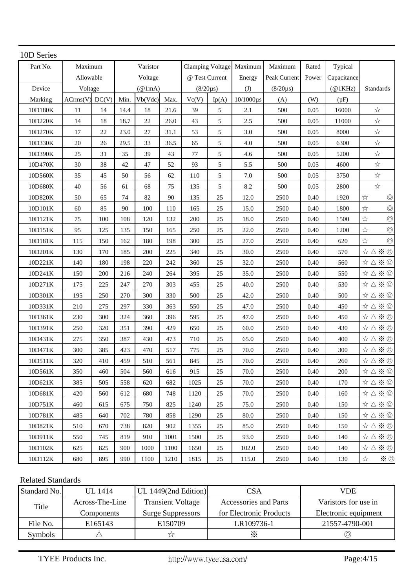| 10D Series |           |       |      |                         |      |                |                         |                 |                |          |                         |                                                                          |
|------------|-----------|-------|------|-------------------------|------|----------------|-------------------------|-----------------|----------------|----------|-------------------------|--------------------------------------------------------------------------|
| Part No.   | Maximum   |       |      | Varistor                |      |                | <b>Clamping Voltage</b> | Maximum         | Maximum        | Rated    | Typical                 |                                                                          |
|            | Allowable |       |      | Voltage                 |      |                | @ Test Current          | Energy          | Peak Current   | Power    | Capacitance             |                                                                          |
| Device     | Voltage   |       |      | $(\textcircled{a}$ 1mA) |      | $(8/20 \mu s)$ |                         | (J)             | $(8/20 \mu s)$ |          | $(\textcircled{a}1KHz)$ | Standards                                                                |
| Marking    | ACrms(V)  | DC(V) | Min. | Vb(Vdc)                 | Max. | Vc(V)          | Ip(A)                   | $10/1000 \mu s$ | (A)            | (W)      | (pF)                    |                                                                          |
| 10D180K    | 11        | 14    | 14.4 | 18                      | 21.6 | 39             | 5                       | 2.1             | 500            | 0.05     | 16000                   | $\stackrel{\wedge}{\bowtie}$                                             |
| 10D220K    | 14        | 18    | 18.7 | 22                      | 26.0 | 43             | 5                       | 2.5             | 500            | 0.05     | 11000                   | $\stackrel{\wedge}{\bowtie}$                                             |
| 10D270K    | 17        | 22    | 23.0 | 27                      | 31.1 | 53             | $\mathfrak{S}$          | 3.0             | 500            | 0.05     | 8000                    | $\stackrel{\wedge}{\bowtie}$                                             |
| 10D330K    | $20\,$    | 26    | 29.5 | 33                      | 36.5 | 65             | 5                       | $4.0$           | 500            | 0.05     | 6300                    | $\preceq^\wedge_\curvearrowright$                                        |
| 10D390K    | 25        | 31    | 35   | 39                      | 43   | 77             | 5                       | 4.6             | 500            | 0.05     | 5200                    | $\stackrel{\wedge}{\bowtie}$                                             |
| 10D470K    | $30\,$    | 38    | 42   | 47                      | 52   | 93             | 5                       | 5.5             | 500            | 0.05     | 4600                    | $\stackrel{\wedge}{\bowtie}$                                             |
| 10D560K    | 35        | 45    | 50   | 56                      | 62   | 110            | 5                       | $7.0\,$         | 500            | 0.05     | 3750                    | $\stackrel{\wedge}{\bowtie}$                                             |
| 10D680K    | 40        | 56    | 61   | 68                      | 75   | 135            | $\mathfrak{S}$          | 8.2             | 500            | 0.05     | 2800                    | $\stackrel{\wedge}{\bowtie}$                                             |
| 10D820K    | 50        | 65    | 74   | 82<br>90                |      | 135            | 25                      | 12.0            | 2500           | 0.40     | 1920                    | $\stackrel{\wedge}{\bowtie}$<br>$\circledcirc$                           |
| 10D101K    | 60        | 85    | 90   | 100                     | 110  | 165            | 25                      | 15.0            | 2500           | 0.40     | 1800                    | $\stackrel{\wedge}{\bowtie}$<br>$\circledcirc$                           |
| 10D121K    | 75        | 100   | 108  | 120                     | 132  | 200            | 25                      | 18.0            | 2500           | 0.40     | 1500                    | $\stackrel{\wedge}{\bowtie}$<br>$\circledcirc$                           |
| 10D151K    | 95        | 125   | 135  | 150                     | 165  | 250            | 25                      | 22.0            | 2500           | 0.40     | 1200                    | $\stackrel{\wedge}{\bowtie}$<br>$\circledcirc$                           |
| 10D181K    | 115       | 150   | 162  | 180                     | 198  | 300            | 25                      | 27.0            | 2500           | 0.40     | 620                     | $\stackrel{\wedge}{\bowtie}$<br>$\circledcirc$                           |
| 10D201K    | 130       | 170   | 185  | 200                     | 225  | 340            | 25                      | 30.0            | 2500           | 0.40     | 570                     | $\quad \  \  \, \forall x \wedge x \otimes y$                            |
| 10D221K    | 140       | 180   | 198  | 220                     | 242  | 360            | 25                      | 32.0            | 2500           | 0.40     | 560                     | $\quad \  \  \, \forall x \in \mathbb{R} \Rightarrow x \in \mathbb{R}$   |
| 10D241K    | 150       | 200   | 216  | 240                     | 264  | 395            | 25                      | 35.0            | 2500           | 0.40     | 550                     | $\mathbb{R} \wedge \mathbb{R} \rightarrow \mathbb{R}$                    |
| 10D271K    | 175       | 225   | 247  | 270                     | 303  | 455            | 25                      | 40.0            | 2500           | 0.40     | 530                     | $\forall x \wedge \exists x \odot$                                       |
| 10D301K    | 195       | 250   | 270  | 300                     | 330  | 500            | 25                      | 42.0            | 2500           | 0.40     | 500                     | $\forall x \wedge \mathbf{N} \oplus$                                     |
| 10D331K    | 210       | 275   | 297  | 330                     | 363  | 550            | 25                      | 47.0            | 2500           | 0.40     | 450                     | $\hat{\varphi} \wedge \hat{\mathbf{X}}$                                  |
| 10D361K    | 230       | 300   | 324  | 360                     | 396  | 595            | 25                      | 47.0            | 2500           | 0.40     | 450                     | $\quad \  \  \, \forall x \in \mathbb{R} \Rightarrow x \in \mathbb{R}$   |
| 10D391K    | 250       | 320   | 351  | 390                     | 429  | 650            | 25                      | 60.0            | 2500           | 0.40     | 430                     | $\stackrel{\star}{\alpha} \triangle \stackrel{\times}{\gg} \circledcirc$ |
| 10D431K    | 275       | 350   | 387  | 430                     | 473  | 710            | 25                      | 65.0            | 2500           | 0.40     | 400                     | $\forall x \wedge \mathbf{N} \oplus$                                     |
| 10D471K    | 300       | 385   | 423  | 470                     | 517  | 775            | 25                      | 70.0            | 2500           | 0.40     | 300                     | $\mathbb{Q}\times\triangle\mathbb{X}$                                    |
| 10D511K    | 320       | 410   | 459  | 510                     | 561  | 845            | $25\,$                  | 70.0            | 2500           | $0.40\,$ | 260                     | $\quad \  \  \, \forall x \wedge x \wedge y$                             |
| 10D561K    | 350       | 460   | 504  | 560                     | 616  | 915            | 25                      | 70.0            | 2500           | 0.40     | 200                     | $\quad \  \  \, \forall x \wedge x \otimes y$                            |
| 10D621K    | 385       | 505   | 558  | 620                     | 682  | 1025           | 25                      | 70.0            | 2500           | 0.40     | 170                     | $\quad \  \  \, \forall \Delta \divideontimes \Theta$                    |
| 10D681K    | 420       | 560   | 612  | 680                     | 748  | 1120           | 25                      | 70.0            | 2500           | 0.40     | 160                     | $\forall x \wedge \mathbf{N} \oplus$                                     |
| 10D751K    | 460       | 615   | 675  | 750                     | 825  | 1240           | 25                      | 75.0            | 2500           | 0.40     | 150                     | $\quad \  \  \, \forall x \wedge x \otimes y$                            |
| 10D781K    | 485       | 640   | 702  | 780                     | 858  | 1290           | 25                      | 80.0            | 2500           | 0.40     | 150                     | $\mathbb{X} \wedge \mathbb{X} \otimes$                                   |
| 10D821K    | 510       | 670   | 738  | 820                     | 902  | 1355           | 25                      | 85.0            | 2500           | 0.40     | 150                     | $\quad \  \  \, \forall x \in \mathbb{R} \, \, \forall x \in \mathbb{R}$ |
| 10D911K    | 550       | 745   | 819  | 910                     | 1001 | 1500           | 25                      | 93.0            | 2500           | 0.40     | 140                     | $\forall x \wedge \times \odot$                                          |
| 10D102K    | 625       | 825   | 900  | 1000                    | 1100 | 1650           | 25                      | 102.0           | 2500           | 0.40     | 140                     | $\mathbb{X} \wedge \mathbb{X} \otimes$                                   |
| 10D112K    | 680       | 895   | 990  | 1100                    | 1210 | 1815           | 25                      | 115.0           | 2500           | 0.40     | 130                     | $z_\mathrm{A}^\mathrm{A}$<br>$\divideontimes \otimes$                    |

## Related Standards

| Standard No.   | UL 1414             | UL $1449(2nd Edition)$   | CSA                          | VDE                  |
|----------------|---------------------|--------------------------|------------------------------|----------------------|
| Title          | Across-The-Line     | <b>Transient Voltage</b> | <b>Accessories and Parts</b> | Varistors for use in |
|                | Components          | <b>Surge Suppressors</b> | for Electronic Products      | Electronic equipment |
| File No.       | E <sub>165143</sub> | E150709                  | LR109736-1                   | 21557-4790-001       |
| <b>Symbols</b> |                     | ☆                        | $\times$                     | (O)                  |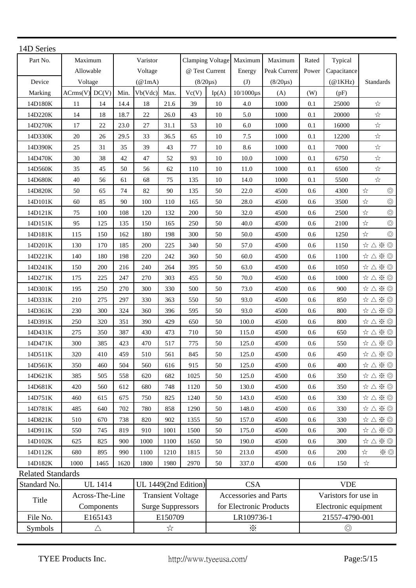| 14D Series               |                                             |                              |      |                    |            |                                   |       |                      |                      |                              |             |                                                                                                                  |
|--------------------------|---------------------------------------------|------------------------------|------|--------------------|------------|-----------------------------------|-------|----------------------|----------------------|------------------------------|-------------|------------------------------------------------------------------------------------------------------------------|
| Part No.                 | Maximum                                     |                              |      | Varistor           |            | <b>Clamping Voltage</b>           |       | Maximum              | Maximum              | Rated                        | Typical     |                                                                                                                  |
|                          | Allowable                                   |                              |      | Voltage            |            | @ Test Current                    |       | Energy               | Peak Current         | Power                        | Capacitance |                                                                                                                  |
| Device                   | Voltage                                     |                              |      | $(\mathcal{Q}1mA)$ |            | $(8/20 \mu s)$                    |       | (J)                  | $(8/20 \mu s)$       |                              | (@1KHz)     | Standards                                                                                                        |
| Marking                  | ACrms(V)                                    | DC(V)                        | Min. | Vb(Vdc)            | Max.       | Vc(V)                             | Ip(A) | $10/1000 \mu s$      | (A)                  | (W)                          | (pF)        |                                                                                                                  |
| 14D180K                  | 11                                          | 14                           | 14.4 | 18                 | 21.6       | 39                                | 10    | 4.0                  | 1000                 | 0.1                          | 25000       | $\stackrel{\wedge}{\bowtie}$                                                                                     |
| 14D220K                  | 14                                          | 18                           | 18.7 | 22                 | 26.0       | 43                                | 10    | 5.0                  | 1000                 | 0.1                          | 20000       | $\stackrel{\wedge}{\bowtie}$                                                                                     |
| 14D270K                  | 17                                          | 22                           | 23.0 | 27                 | 31.1       | 53                                | 10    | 6.0                  | 1000                 | 0.1                          | 16000       | $\stackrel{\wedge}{\bowtie}$                                                                                     |
| 14D330K                  | 20                                          | 26                           | 29.5 | 33                 | 36.5       | 65                                | 10    | 7.5                  | 1000                 | 0.1                          | 12200       | $\stackrel{\wedge}{\bowtie}$                                                                                     |
| 14D390K                  | 25                                          | 31                           | 35   | 39                 | 43         | 77                                | 10    | 8.6                  | 1000                 | 0.1                          | 7000        | $\stackrel{\wedge}{\bowtie}$                                                                                     |
| 14D470K                  | 30                                          | 38                           | 42   | 47                 | 52         | 93                                | 10    | 10.0                 | 1000                 | 0.1                          | 6750        | $\stackrel{\wedge}{\bowtie}$                                                                                     |
| 14D560K                  | 35                                          | 45                           | 50   | 56                 | 62         | 110                               | 10    | $11.0\,$             | 1000                 | 0.1                          | 6500        | $\stackrel{\wedge}{\bowtie}$                                                                                     |
| 14D680K                  | 40                                          | 56                           | 61   | 68                 | 75         | 135                               | 10    | 14.0                 | 1000                 | 0.1                          | 5500        | $\stackrel{\wedge}{\bowtie}$                                                                                     |
| 14D820K                  | 50                                          | 65                           | 74   | 82                 | 90         | 135                               | 50    | 22.0                 | 4500                 | 0.6                          | 4300        | $\stackrel{\wedge}{\bowtie}$<br>$\circledcirc$                                                                   |
| 14D101K                  | 60                                          | 85                           | 90   | 100                | 110        | 165                               | 50    | 28.0                 | 4500                 | 0.6                          | 3500        | $\circledcirc$<br>$\stackrel{\rightarrow}{\Join}$                                                                |
| 14D121K                  | 75                                          | 100                          | 108  | 120                | 132        | 200                               | 50    | 32.0                 | 4500                 | 0.6                          | 2500        | $\circledcirc$<br>$\stackrel{\wedge}{\bowtie}$                                                                   |
| 14D151K                  | 95                                          | 125                          | 135  | 150                | 165        | 250                               | 50    | 40.0                 | 4500                 | 0.6                          | 2100        | $\circledcirc$<br>$\stackrel{\wedge}{\bowtie}$                                                                   |
| 14D181K                  | 115                                         | 150                          | 162  | 180                | 198        | 300                               | 50    | 50.0                 | 4500                 | 0.6                          | 1250        | $\circledcirc$<br>$\stackrel{\wedge}{\bowtie}$                                                                   |
| 14D201K                  | 130                                         | 170                          | 185  | 200                | 225        | 340                               | 50    | 57.0                 | 4500                 | 0.6                          | 1150        | $\stackrel{+}{\sim}$ $\stackrel{+}{\sim}$ $\stackrel{+}{\sim}$ $\stackrel{+}{\sim}$                              |
| 14D221K                  | 140                                         | 180                          | 198  | 220                | 242        | 360                               | 50    | 60.0                 | 4500                 | 0.6                          | 1100        | $\forall \Delta \ge 0$                                                                                           |
| 14D241K                  | 150                                         | 200                          | 216  | 240                | 264        | 395                               | 50    | 63.0                 | 4500                 | 0.6                          | 1050        | $\stackrel{\leftrightarrow}{\alpha} \triangle \stackrel{\times}{\gg} \circledcirc$                               |
| 14D271K                  | 175                                         | 225                          | 247  | 270                | 303        | 455                               | 50    | 70.0                 | 4500                 | 0.6                          | 1000        | $\stackrel{\leftrightarrow}{\alpha} \triangle \stackrel{\times}{\gg} \stackrel{\odot}{\odot}$                    |
| 14D301K                  | 195                                         | 250                          | 270  | 300                | 330        | 500                               | 50    | 73.0                 | 4500                 | 0.6                          | 900         | $\stackrel{\star}{\alpha} \triangle \stackrel{\times}{\gg} \circledcirc$                                         |
| 14D331K                  | 210                                         | 275                          | 297  | 330                | 363        | 550                               | 50    | 93.0                 | 4500                 | 0.6                          | 850         | $\stackrel{\star}{\alpha} \triangle \stackrel{\times}{\gg} \circledcirc$                                         |
| 14D361K                  | 230                                         | 300                          | 324  | 360                | 396        | 595                               | 50    | 93.0                 | 4500                 | 0.6                          | 800         | $\stackrel{\leftrightarrow}{\alpha} \triangle \stackrel{\times}{\gg} \circledcirc$                               |
| 14D391K                  | 250                                         | 320                          | 351  | 390                | 429        | 650                               | 50    | 100.0                | 4500                 | 0.6                          | 800         | $\stackrel{\star}{\rtimes}\triangle \stackrel{\times}{\rtimes} \circledcirc$                                     |
| 14D431K                  | 275                                         | 350                          | 387  | 430                | 473        | 710                               | 50    | 115.0                | 4500                 | 0.6                          | 650         | $\forall\;\Delta\;\Huge{\times}\;\Theta$                                                                         |
| 14D471K                  | 300                                         | 385                          | 423  | 470                | 517        | 775                               | 50    | 125.0                | 4500                 | 0.6                          | 550         | $\stackrel{\leftrightarrow}{\alpha} \stackrel{\times}{\Delta} \stackrel{\times}{\otimes} \mathbb{O}$             |
| 14D511K                  | 320                                         | 410                          | 459  | 510                | 561        | 845                               | 50    | 125.0                | 4500                 | 0.6                          | 450         | $\stackrel{.}{\rtimes}\triangle \stackrel{.}{\rtimes} \textcircled{0}$                                           |
| 14D561K                  | 350                                         | 460                          | 504  | 560                | 616        | 915                               | 50    | 125.0                | 4500                 | 0.6                          | 400         | $\quad \  \  \, \forall x \wedge x \otimes y$                                                                    |
| 14D621K                  | 385                                         | 505                          | 558  | 620                | 682        | 1025                              | 50    | 125.0                | 4500                 | 0.6                          | 350         | $\mathbb{R} \wedge \mathbb{R} \rightarrow \mathbb{R}$                                                            |
| 14D681K                  | 420                                         | 560                          | 612  | 680                | 748        | 1120                              | 50    | 130.0                | 4500                 | 0.6                          | 350         | $\forall x \wedge \mathcal{X} \odot$                                                                             |
| 14D751K                  | 460                                         | 615                          | 675  | 750                | 825        | 1240                              | 50    | 143.0                | 4500                 | 0.6                          | 330         | $\forall x \wedge \aleph \odot$                                                                                  |
| 14D781K                  | 485                                         | 640                          | 702  | 780                | 858        | 1290                              | 50    | 148.0                | 4500                 | 0.6                          | 330         | $\forall x \wedge \dot{x} \odot$                                                                                 |
| 14D821K                  | 510                                         | 670                          | 738  | 820                | 902        | 1355                              | 50    | 157.0                | 4500                 | 0.6                          | 330         | $\forall x \wedge \dot{x} \odot$                                                                                 |
| 14D911K                  | 550                                         | 745                          | 819  | 910                | 1001       | 1500                              | 50    | 175.0                | 4500                 | 0.6                          | 300         | $\quad \  \  \, \forall x \in \mathbb{R} \, \, \forall x \in \mathbb{R}$                                         |
| 14D102K                  | 625                                         | 825                          | 900  | 1000               | 1100       | 1650                              | 50    | 190.0                | 4500                 | 0.6                          | 300         | $\stackrel{~}{\rtimes}\;\triangle \; {\stackrel{{\scriptstyle\times}}{\scriptstyle\times}}\;\stackrel{~}{\odot}$ |
| 14D112K                  | 680                                         | 895                          | 990  | 1100               | 1210       | 1815                              | 50    | 213.0                | 4500                 | 0.6                          | 200         | $\stackrel{\wedge}{\bowtie}$<br>※ ◎                                                                              |
| 14D182K                  | 1000                                        | 1620<br>1800<br>1980<br>1465 |      | 2970               | 50         | 337.0                             | 4500  | 0.6                  | 150                  | $\stackrel{\wedge}{\bowtie}$ |             |                                                                                                                  |
| <b>Related Standards</b> |                                             |                              |      |                    |            |                                   |       |                      |                      |                              |             |                                                                                                                  |
| Standard No.             | <b>UL 1414</b>                              |                              |      |                    |            | UL 1449(2nd Edition)              |       | <b>CSA</b>           |                      | <b>VDE</b>                   |             |                                                                                                                  |
| Title                    | Across-The-Line<br><b>Transient Voltage</b> |                              |      |                    |            | Accessories and Parts             |       |                      | Varistors for use in |                              |             |                                                                                                                  |
|                          | <b>Surge Suppressors</b><br>Components      |                              |      |                    |            | for Electronic Products           |       | Electronic equipment |                      |                              |             |                                                                                                                  |
| File No.                 | E150709<br>E165143                          |                              |      |                    | LR109736-1 |                                   |       | 21557-4790-001       |                      |                              |             |                                                                                                                  |
| Symbols                  | ☆<br>$\triangle$                            |                              |      |                    |            | $\ddot{\times}$<br>$\circledcirc$ |       |                      |                      |                              |             |                                                                                                                  |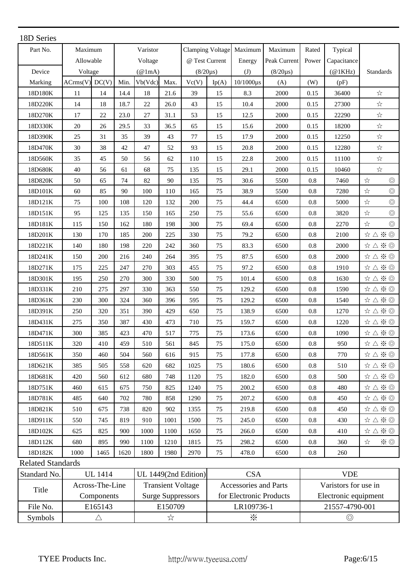| 18D Series               |                |                 |      |                              |                          |                      |                              |                 |                |                      |             |                                                                                     |
|--------------------------|----------------|-----------------|------|------------------------------|--------------------------|----------------------|------------------------------|-----------------|----------------|----------------------|-------------|-------------------------------------------------------------------------------------|
| Part No.                 | Maximum        |                 |      | Varistor                     |                          |                      | Clamping Voltage             | Maximum         | Maximum        | Rated                | Typical     |                                                                                     |
|                          | Allowable      |                 |      | Voltage                      |                          | @ Test Current       |                              | Energy          | Peak Current   | Power                | Capacitance |                                                                                     |
| Device                   | Voltage        |                 |      | $(\textcircled{a}$ 1mA)      |                          | $(8/20 \mu s)$       |                              | (J)             | $(8/20 \mu s)$ |                      | (@1KHz)     | Standards                                                                           |
| Marking                  | ACrms(V)       | DC(V)           | Min. | Vb(Vdc)                      | Max.                     | Vc(V)                | Ip(A)                        | $10/1000 \mu s$ | (A)            | (W)                  | (pF)        |                                                                                     |
| 18D180K                  | 11             | 14              | 14.4 | 18                           | 21.6                     | 39                   | 15                           | 8.3             | 2000           | 0.15                 | 36400       | $\stackrel{\wedge}{\bowtie}$                                                        |
| 18D220K                  | 14             | 18              | 18.7 | 22                           | 26.0                     | 43                   | 15                           | 10.4            | 2000           | 0.15                 | 27300       | $\stackrel{\wedge}{\bowtie}$                                                        |
| 18D270K                  | 17             | $22\,$          | 23.0 | 27                           | 31.1                     | 53                   | 15                           | 12.5            | 2000           | 0.15                 | 22290       | $\stackrel{\wedge}{\bowtie}$                                                        |
| 18D330K                  | $20\,$         | 26              | 29.5 | 33                           | 36.5                     | 65                   | 15                           | 15.6            | 2000           | 0.15                 | 18200       | $\stackrel{\wedge}{\bowtie}$                                                        |
| 18D390K                  | 25             | 31              | 35   | 39                           | 43                       | 77                   | 15                           | 17.9            | 2000           | 0.15                 | 12250       | $\stackrel{\wedge}{\bowtie}$                                                        |
| 18D470K                  | $30\,$         | 38              | 42   | 47                           | 52                       | 93                   | 15                           | 20.8            | 2000           | 0.15                 | 12280       | $\stackrel{\rightarrow}{\sim}$                                                      |
| 18D560K                  | 35             | 45              | 50   | 56                           | 62                       | 110                  | 15                           | 22.8            | 2000           | 0.15                 | 11100       | $\stackrel{\wedge}{\bowtie}$                                                        |
| 18D680K                  | $40\,$         | 56              | 61   | 68                           | 75                       | 135                  | 15                           | 29.1            | 2000           | 0.15                 | 10460       | $\stackrel{\wedge}{\bowtie}$                                                        |
| 18D820K                  | 50             | 65              | 74   | 82                           | 90                       | 135                  | 75                           | 30.6            | 5500           | 0.8                  | 7460        | $\stackrel{\wedge}{\bowtie}$<br>$\circledcirc$                                      |
| 18D101K                  | 60             | 85              | 90   | 100                          | 110                      | 165                  | 75                           | 38.9            | 5500           | $0.8\,$              | 7280        | $z_\mathrm{A}^\mathrm{A}$<br>$\circledcirc$                                         |
| 18D121K                  | 75             | 100             | 108  | 120                          | 132                      | 200                  | 75                           | 44.4            | 6500           | $0.8\,$              | 5000        | $\circledcirc$<br>$z_\mathrm{A}^\mathrm{A}$                                         |
| 18D151K                  | 95             | 125             | 135  | 150                          | 165                      | 250                  | 75                           | 55.6            | 6500           | 0.8                  | 3820        | $\circledcirc$<br>$\stackrel{\wedge}{\bowtie}$                                      |
| 18D181K                  | 115            | 150             | 162  | 180                          | 198                      | 300                  | 75                           | 69.4            | 6500           | $0.8\,$              | 2270        | $\circledcirc$<br>$\stackrel{\wedge}{\bowtie}$                                      |
| 18D201K                  | 130            | 170             | 185  | 200                          | 225                      | 330                  | 75                           | 79.2            | 6500           | 0.8                  | 2100        | $\stackrel{<}{\sim}$ $\stackrel{<}{\sim}$ $\stackrel{<}{\sim}$ $\stackrel{<}{\sim}$ |
| 18D221K                  | 140            | 180             | 198  | 220                          | 242                      | 360                  | 75                           | 83.3            | 6500           | $0.8\,$              | 2000        | $\stackrel{<}{\sim}$ $\stackrel{<}{\sim}$ $\stackrel{<}{\sim}$ $\stackrel{<}{\sim}$ |
| 18D241K                  | 150            | 200             | 216  | 240                          | 264                      | 395                  | 75                           | 87.5            | 6500           | $0.8\,$              | 2000        | $\forall \Delta \times \odot$                                                       |
| 18D271K                  | 175            | 225             | 247  | 270                          | 303                      | 455                  | 75                           | 97.2            | 6500           | $0.8\,$              | 1910        | $\forall \Delta \times \odot$                                                       |
| 18D301K                  | 195            | 250             | 270  | 300                          | 330                      | 500                  | 75                           | 101.4           | 6500           | $0.8\,$              | 1630        | $\forall \Delta \times \odot$                                                       |
| 18D331K                  | 210            | 275             | 297  | 330                          | 363                      | 550                  | 75                           | 129.2           | 6500           | 0.8                  | 1590        | $\hat{\varphi} \wedge \hat{\mathbf{X}}$ $\Diamond$                                  |
| 18D361K                  | 230            | 300             | 324  | 360                          | 396                      | 595                  | 75                           | 129.2           | 6500           | $0.8\,$              | 1540        | $\forall x \wedge \mathcal{R} \oplus$                                               |
| 18D391K                  | 250            | 320             | 351  | 390                          | 429                      | 650                  | 75                           | 138.9           | 6500           | $0.8\,$              | 1270        | $\forall x \wedge \mathcal{X} \odot \mathcal{Y}$                                    |
| 18D431K                  | 275            | 350             | 387  | 430                          | 473                      | 710                  | 75                           | 159.7           | 6500           | 0.8                  | 1220        | $\stackrel{.}{\rtimes}\triangle \stackrel{.}{\times} \textcircled{0}$               |
| 18D471K                  | 300            | 385             | 423  | 470                          | 517                      | 775                  | 75                           | 173.6           | 6500           | $0.8\,$              | 1090        | $\stackrel{\star}{\rtimes}\mathrel{\Delta}\mathrel{\mathbb{X}}\mathrel{\odot}$      |
| 18D511K                  | 320            | 410             | 459  | 510                          | 561                      | 845                  | 75                           | 175.0           | 6500           | $0.8\,$              | 950         | $\mathbb{A} \wedge \mathbb{A} \otimes$                                              |
| 18D561K                  | 350            | 460             | 504  | 560                          | 616                      | 915                  | 75                           | 177.8           | 6500           | 0.8                  | 770         | $\forall x \wedge \mathcal{X} \odot \mathcal{Y}$                                    |
| 18D621K                  | 385            | 505             | 558  | 620                          | 682                      | 1025                 | 75                           | 180.6           | 6500           | $0.8\,$              | 510         | $\forall \Delta \times \odot$                                                       |
| 18D681K                  | 420            | 560             | 612  | 680                          | 748                      | 1120                 | 75                           | 182.0           | 6500           | $0.8\,$              | 500         | $\forall \Delta \times \odot$                                                       |
| 18D751K                  | 460            | 615             | 675  | 750                          | 825                      | 1240                 | 75                           | 200.2           | 6500           | $0.8\,$              | 480         | $\stackrel{.}{\rtimes}\triangle \stackrel{.}{\times} \textcircled{0}$               |
| 18D781K                  | 485            | 640             | 702  | 780                          | 858                      | 1290                 | 75                           | 207.2           | 6500           | $0.8\,$              | 450         | $\forall \Delta \times \odot$                                                       |
| 18D821K                  | 510            | 675             | 738  | 820                          | 902                      | 1355                 | 75                           | 219.8           | 6500           | $0.8\,$              | 450         | $\forall x \wedge \mathcal{X} \odot \mathcal{Y}$                                    |
| 18D911K                  | 550            | 745             | 819  | 910                          | 1001                     | 1500                 | 75                           | 245.0           | 6500           | $0.8\,$              | 430         | $\forall x \wedge \mathcal{X} \odot \mathcal{Y}$                                    |
| 18D102K                  | 625            | 825             | 900  | 1000                         | 1100                     | 1650                 | 75                           | 266.0           | 6500           | $0.8\,$              | 410         | $\forall x \wedge \mathcal{K} \odot$                                                |
| 18D112K                  | 680            | 895             | 990  | 1100                         | 1210                     | 1815                 | 75                           | 298.2           | 6500           | $0.8\,$              | 360         | $\stackrel{\wedge}{\bowtie}$<br>※ ◎                                                 |
| 18D182K                  | 1000           | 1465            | 1620 | 1800                         | 1980                     | 2970                 | 75                           | 478.0           | 6500           | 0.8                  | 260         |                                                                                     |
| <b>Related Standards</b> |                |                 |      |                              |                          |                      |                              |                 |                |                      |             |                                                                                     |
| Standard No.             | <b>UL</b> 1414 |                 |      |                              |                          | UL 1449(2nd Edition) |                              | <b>CSA</b>      |                |                      | <b>VDE</b>  |                                                                                     |
|                          |                | Across-The-Line |      |                              | <b>Transient Voltage</b> |                      | <b>Accessories and Parts</b> |                 |                | Varistors for use in |             |                                                                                     |
| Title                    |                | Components      |      |                              | <b>Surge Suppressors</b> |                      | for Electronic Products      |                 |                | Electronic equipment |             |                                                                                     |
| File No.                 |                | E165143         |      |                              | E150709                  |                      | LR109736-1                   |                 |                | 21557-4790-001       |             |                                                                                     |
| Symbols                  |                | $\triangle$     |      | $\stackrel{\wedge}{\bowtie}$ |                          |                      | $\times$                     |                 |                | $\circledcirc$       |             |                                                                                     |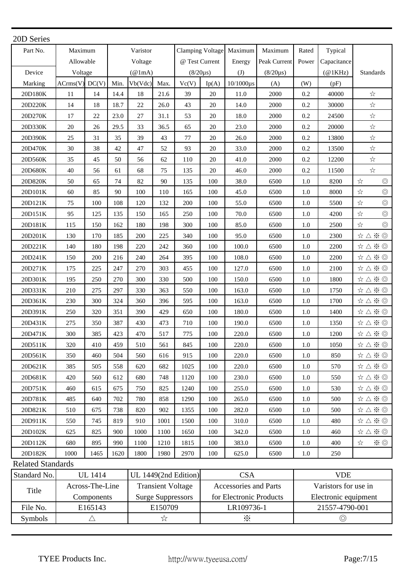| 20D Series               |                                        |      |      |                          |                      |                              |                         |                      |                      |                |             |                                                                        |
|--------------------------|----------------------------------------|------|------|--------------------------|----------------------|------------------------------|-------------------------|----------------------|----------------------|----------------|-------------|------------------------------------------------------------------------|
| Part No.                 | Maximum                                |      |      | Varistor                 |                      |                              | <b>Clamping Voltage</b> | Maximum              | Maximum              | Rated          | Typical     |                                                                        |
|                          | Allowable                              |      |      | Voltage                  |                      |                              | @ Test Current          | Energy               | Peak Current         | Power          | Capacitance |                                                                        |
| Device                   | Voltage                                |      |      | $(\textcircled{a}$ 1mA)  |                      | $(8/20 \mu s)$               |                         | (J)                  | $(8/20 \mu s)$       |                | @1KHz       | Standards                                                              |
| Marking                  | ACrms(V) DC(V)                         |      | Min. | Vb(Vdc)                  | Max.                 | Vc(V)                        | Ip(A)                   | $10/1000 \mu s$      | (A)                  | (W)            | (pF)        |                                                                        |
| 20D180K                  | 11                                     | 14   | 14.4 | 18                       | 21.6                 | 39                           | 20                      | 11.0                 | 2000                 | 0.2            | 40000       | $\stackrel{\wedge}{\bowtie}$                                           |
| 20D220K                  | 14                                     | 18   | 18.7 | 22                       | 26.0                 | 43                           | 20                      | 14.0                 | 2000                 | 0.2            | 30000       | $\stackrel{\wedge}{\bowtie}$                                           |
| 20D270K                  | 17                                     | 22   | 23.0 | 27                       | 31.1                 | 53                           | 20                      | 18.0                 | 2000                 | 0.2            | 24500       | $\stackrel{\wedge}{\bowtie}$                                           |
| 20D330K                  | $20\,$                                 | 26   | 29.5 | 33                       | 36.5                 | 65                           | 20                      | 23.0                 | 2000                 | 0.2            | 20000       | $\stackrel{\wedge}{\bowtie}$                                           |
| 20D390K                  | 25                                     | 31   | 35   | 39                       | 43                   | $77\,$                       | 20                      | 26.0                 | 2000                 | 0.2            | 13800       | $\stackrel{\wedge}{\bowtie}$                                           |
| 20D470K                  | 30                                     | 38   | 42   | 47                       | 52                   | 93                           | $20\,$                  | 33.0                 | 2000                 | 0.2            | 13500       | $\stackrel{\wedge}{\bowtie}$                                           |
| 20D560K                  | 35                                     | 45   | 50   | 56                       | 62                   | 110                          | 20                      | 41.0                 | 2000                 | 0.2            | 12200       | $\stackrel{\wedge}{\sim}$                                              |
| 20D680K                  | 40                                     | 56   | 61   | 68                       | 75                   | 135                          | $20\,$                  | 46.0                 | 2000                 | 0.2            | 11500       | $\stackrel{\wedge}{\bowtie}$                                           |
| 20D820K                  | 50                                     | 65   | 74   | 82                       | 90                   | 135                          | 100                     | 38.0                 | 6500                 | 1.0            | 8200        | $\stackrel{\wedge}{\bowtie}$<br>$\circledcirc$                         |
| 20D101K                  | 60                                     | 85   | 90   | 100                      | 110                  | 165                          | 100                     | 45.0                 | 6500                 | 1.0            | 8000        | $\stackrel{\wedge}{\bowtie}$<br>$\circledcirc$                         |
| 20D121K                  | 75                                     | 100  | 108  | 120                      | 132                  | 200                          | 100                     | 55.0                 | 6500                 | 1.0            | 5500        | $\circledcirc$<br>$\stackrel{\wedge}{\bowtie}$                         |
| 20D151K                  | 95                                     | 125  | 135  | 150                      | 165                  | 250                          | 100                     | 70.0                 | 6500                 | $1.0\,$        | 4200        | $\circledcirc$<br>$\preccurlyeq_\sphericalangle$                       |
| 20D181K                  | 115                                    | 150  | 162  | 180                      | 198                  | 300                          | 100                     | 85.0                 | 6500                 | 1.0            | 2500        | $\circledcirc$<br>$\stackrel{\wedge}{\bowtie}$                         |
| 20D201K                  | 130                                    | 170  | 185  | 200                      | 225                  | 340                          | 100                     | 95.0                 | 6500                 | 1.0            | 2300        | $\stackrel{+}{\rtimes}\triangle \stackrel{+}{\rtimes}\circledcirc$     |
| 20D221K                  | 140                                    | 180  | 198  | 220                      | 242                  | 360                          | 100                     | 100.0                | 6500                 | $1.0\,$        | 2200        | $\mathbb{X} \wedge \mathbb{X} \otimes$                                 |
| 20D241K                  | 150                                    | 200  | 216  | 240                      | 264                  | 395                          | 100                     | 108.0                | 6500                 | 1.0            | 2200        | $\quad \  \  \, \forall x \wedge x \otimes y$                          |
| 20D271K                  | 175                                    | 225  | 247  | 270                      | 303                  | 455                          | 100                     | 127.0                | 6500                 | 1.0            | 2100        | $\mathbb{X} \wedge \mathbb{X} \otimes$                                 |
| 20D301K                  | 195                                    | 250  | 270  | 300                      | 330                  | 500                          | 100                     | 150.0                | 6500                 | $1.0\,$        | 1800        | $\stackrel{.}{\rtimes}\triangle \stackrel{.}{\rtimes} \textcircled{0}$ |
| 20D331K                  | 210                                    | 275  | 297  | 330                      | 363                  | 550                          | 100                     | 163.0                | 6500                 | 1.0            | 1750        | $\forall x \wedge \divideontimes \heartsuit$                           |
| 20D361K                  | 230                                    | 300  | 324  | 360                      | 396                  | 595                          | 100                     | 163.0                | 6500                 | 1.0            | 1700        | $\forall \Delta \ge 0$                                                 |
| 20D391K                  | 250                                    | 320  | 351  | 390                      | 429                  | 650                          | 100                     | 180.0                | 6500                 | 1.0            | 1400        | $\mathbb{R} \wedge \mathbb{R} \otimes$                                 |
| 20D431K                  | 275                                    | 350  | 387  | 430                      | 473                  | 710                          | 100                     | 190.0                | 6500                 | 1.0            | 1350        | $\mathbb{X} \wedge \mathbb{X} \otimes$                                 |
| 20D471K                  | 300                                    | 385  | 423  | 470                      | 517                  | 775                          | 100                     | 220.0                | 6500                 | $1.0\,$        | 1200        | $\stackrel{+}{\rtimes}\triangle \stackrel{+}{\rtimes}\circledcirc$     |
| 20D511K                  | 320                                    | 410  | 459  | 510                      | 561                  | 845                          | 100                     | 220.0                | 6500                 | 1.0            | 1050        | $\hat{\mathbf{x}} \wedge \hat{\mathbf{x}} \otimes$                     |
| 20D561K                  | 350                                    | 460  | 504  | 560                      | 616                  | 915                          | 100                     | 220.0                | 6500                 | $1.0\,$        | 850         | $\quad \  \  \, \forall x \wedge x \otimes y$                          |
| 20D621K                  | 385                                    | 505  | 558  | 620                      | 682                  | 1025                         | 100                     | 220.0                | 6500                 | $1.0\,$        | 570         | $\stackrel{.}{\rtimes}\triangle \stackrel{.}{\rtimes}\circledcirc$     |
| 20D681K                  | 420                                    | 560  | 612  | 680                      | 748                  | 1120                         | $100\,$                 | 230.0                | 6500                 | $1.0\,$        | 550         | $\stackrel{.}{\rtimes}\triangle \stackrel{.}{\rtimes} \textcircled{0}$ |
| 20D751K                  | 460                                    | 615  | 675  | 750                      | 825                  | 1240                         | 100                     | 255.0                | 6500                 | $1.0\,$        | 530         | $\stackrel{.}{\rtimes}\triangle \stackrel{.}{\rtimes} \textcircled{0}$ |
| 20D781K                  | 485                                    | 640  | 702  | 780                      | 858                  | 1290                         | 100                     | 265.0                | 6500                 | 1.0            | 500         | $\stackrel{+}{\rtimes}\triangle \stackrel{+}{\rtimes}\circledcirc$     |
| 20D821K                  | 510                                    | 675  | 738  | 820                      | 902                  | 1355                         | $100\,$                 | 282.0                | 6500                 | $1.0\,$        | 500         | $\mathbb{X} \wedge \mathbb{X} \otimes$                                 |
| 20D911K                  | 550                                    | 745  | 819  | 910                      | 1001                 | 1500                         | 100                     | 310.0                | 6500                 | $1.0\,$        | 480         | $\quad \  \  \, \forall x \wedge x \otimes y$                          |
| 20D102K                  | 625                                    | 825  | 900  | 1000                     | 1100                 | 1650                         | $100\,$                 | 342.0                | 6500                 | $1.0\,$        | 460         | $\forall \Delta \ge 0$                                                 |
| 20D112K                  | 680                                    | 895  | 990  | 1100                     | 1210                 | 1815                         | 100                     | 383.0                | 6500                 | $1.0\,$        | 400         | $\stackrel{\wedge}{\bowtie}$<br>※ ◎                                    |
| 20D182K                  | 1000                                   | 1465 | 1620 | 1800                     | 1980                 | 2970                         | 100                     | 625.0                | 6500                 | $1.0\,$        | 250         |                                                                        |
| <b>Related Standards</b> |                                        |      |      |                          |                      |                              |                         |                      |                      |                |             |                                                                        |
| Standard No.             | <b>UL</b> 1414                         |      |      |                          | UL 1449(2nd Edition) |                              | <b>CSA</b>              |                      |                      | <b>VDE</b>     |             |                                                                        |
| Title                    | Across-The-Line                        |      |      | <b>Transient Voltage</b> |                      | <b>Accessories and Parts</b> |                         |                      | Varistors for use in |                |             |                                                                        |
|                          | <b>Surge Suppressors</b><br>Components |      |      | for Electronic Products  |                      |                              |                         | Electronic equipment |                      |                |             |                                                                        |
| File No.                 | E165143                                |      |      |                          | E150709              |                              | LR109736-1              |                      |                      | 21557-4790-001 |             |                                                                        |
| Symbols                  | Δ                                      |      |      | ☆                        |                      |                              |                         | $\times$             |                      | $\circledcirc$ |             |                                                                        |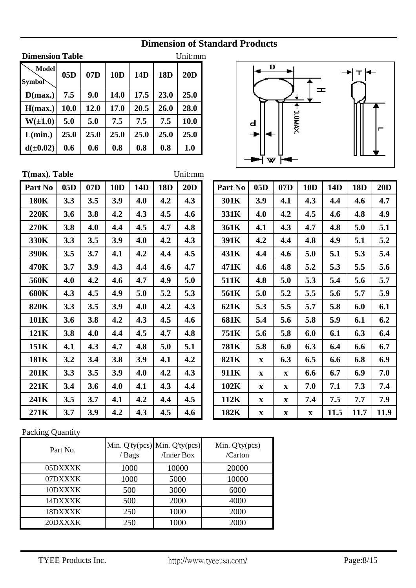## **Dimension of Standard Products**

## **Dimension Table** Unit:mm

| <b>Model</b><br><b>Symbol</b> | 05D  | 07D  | 10 <sub>D</sub> | 14D  | <b>18D</b> | 20D  |
|-------------------------------|------|------|-----------------|------|------------|------|
| D(max.)                       | 7.5  | 9.0  | 14.0            | 17.5 | 23.0       | 25.0 |
| H(max.)                       | 10.0 | 12.0 | 17.0            | 20.5 | 26.0       | 28.0 |
| $W(\pm 1.0)$                  | 5.0  | 5.0  | 7.5             | 7.5  | 7.5        | 10.0 |
| L(min.)                       | 25.0 | 25.0 | 25.0            | 25.0 | 25.0       | 25.0 |
| $d(\pm 0.02)$                 | 0.6  | 0.6  | 0.8             | 0.8  | 0.8        | 1.0  |



**T(max). Table** Unit:mm

| Part No | 05D | 07D | 10 <sub>D</sub> | 14D | <b>18D</b> | 20D | Part No | 05D          | 07D          | 10 <sub>D</sub> | 14D  | <b>18D</b> | 20D  |
|---------|-----|-----|-----------------|-----|------------|-----|---------|--------------|--------------|-----------------|------|------------|------|
| 180K    | 3.3 | 3.5 | 3.9             | 4.0 | 4.2        | 4.3 | 301K    | 3.9          | 4.1          | 4.3             | 4.4  | 4.6        | 4.7  |
| 220K    | 3.6 | 3.8 | 4.2             | 4.3 | 4.5        | 4.6 | 331K    | 4.0          | 4.2          | 4.5             | 4.6  | 4.8        | 4.9  |
| 270K    | 3.8 | 4.0 | 4.4             | 4.5 | 4.7        | 4.8 | 361K    | 4.1          | 4.3          | 4.7             | 4.8  | 5.0        | 5.1  |
| 330K    | 3.3 | 3.5 | 3.9             | 4.0 | 4.2        | 4.3 | 391K    | 4.2          | 4.4          | 4.8             | 4.9  | 5.1        | 5.2  |
| 390K    | 3.5 | 3.7 | 4.1             | 4.2 | 4.4        | 4.5 | 431K    | 4.4          | 4.6          | 5.0             | 5.1  | 5.3        | 5.4  |
| 470K    | 3.7 | 3.9 | 4.3             | 4.4 | 4.6        | 4.7 | 471K    | 4.6          | 4.8          | 5.2             | 5.3  | 5.5        | 5.6  |
| 560K    | 4.0 | 4.2 | 4.6             | 4.7 | 4.9        | 5.0 | 511K    | 4.8          | 5.0          | 5.3             | 5.4  | 5.6        | 5.7  |
| 680K    | 4.3 | 4.5 | 4.9             | 5.0 | 5.2        | 5.3 | 561K    | 5.0          | 5.2          | 5.5             | 5.6  | 5.7        | 5.9  |
| 820K    | 3.3 | 3.5 | 3.9             | 4.0 | 4.2        | 4.3 | 621K    | 5.3          | 5.5          | 5.7             | 5.8  | 6.0        | 6.1  |
| 101K    | 3.6 | 3.8 | 4.2             | 4.3 | 4.5        | 4.6 | 681K    | 5.4          | 5.6          | 5.8             | 5.9  | 6.1        | 6.2  |
| 121K    | 3.8 | 4.0 | 4.4             | 4.5 | 4.7        | 4.8 | 751K    | 5.6          | 5.8          | 6.0             | 6.1  | 6.3        | 6.4  |
| 151K    | 4.1 | 4.3 | 4.7             | 4.8 | 5.0        | 5.1 | 781K    | 5.8          | 6.0          | 6.3             | 6.4  | 6.6        | 6.7  |
| 181K    | 3.2 | 3.4 | 3.8             | 3.9 | 4.1        | 4.2 | 821K    | $\mathbf X$  | 6.3          | 6.5             | 6.6  | 6.8        | 6.9  |
| 201K    | 3.3 | 3.5 | 3.9             | 4.0 | 4.2        | 4.3 | 911K    | $\mathbf X$  | $\mathbf x$  | 6.6             | 6.7  | 6.9        | 7.0  |
| 221K    | 3.4 | 3.6 | 4.0             | 4.1 | 4.3        | 4.4 | 102K    | $\mathbf{X}$ | $\mathbf X$  | 7.0             | 7.1  | 7.3        | 7.4  |
| 241K    | 3.5 | 3.7 | 4.1             | 4.2 | 4.4        | 4.5 | 112K    | $\mathbf X$  | $\mathbf X$  | 7.4             | 7.5  | 7.7        | 7.9  |
| 271K    | 3.7 | 3.9 | 4.2             | 4.3 | 4.5        | 4.6 | 182K    | $\mathbf{x}$ | $\mathbf{x}$ | $\mathbf{x}$    | 11.5 | 11.7       | 11.9 |

| 'art No     | 05D | 07D | 10 <sub>D</sub> | 14D | <b>18D</b> | 20D | Part No | 05D          | 07D          | 10 <sub>D</sub> | 14D  | <b>18D</b> | 20D  |
|-------------|-----|-----|-----------------|-----|------------|-----|---------|--------------|--------------|-----------------|------|------------|------|
| 180K        | 3.3 | 3.5 | 3.9             | 4.0 | 4.2        | 4.3 | 301K    | 3.9          | 4.1          | 4.3             | 4.4  | 4.6        | 4.7  |
| 220K        | 3.6 | 3.8 | 4.2             | 4.3 | 4.5        | 4.6 | 331K    | 4.0          | 4.2          | 4.5             | 4.6  | 4.8        | 4.9  |
| 270K        | 3.8 | 4.0 | 4.4             | 4.5 | 4.7        | 4.8 | 361K    | 4.1          | 4.3          | 4.7             | 4.8  | 5.0        | 5.1  |
| 330K        | 3.3 | 3.5 | 3.9             | 4.0 | 4.2        | 4.3 | 391K    | 4.2          | 4.4          | 4.8             | 4.9  | 5.1        | 5.2  |
| 390K        | 3.5 | 3.7 | 4.1             | 4.2 | 4.4        | 4.5 | 431K    | 4.4          | 4.6          | 5.0             | 5.1  | 5.3        | 5.4  |
| 470K        | 3.7 | 3.9 | 4.3             | 4.4 | 4.6        | 4.7 | 471K    | 4.6          | 4.8          | 5.2             | 5.3  | 5.5        | 5.6  |
| 560K        | 4.0 | 4.2 | 4.6             | 4.7 | 4.9        | 5.0 | 511K    | 4.8          | 5.0          | 5.3             | 5.4  | 5.6        | 5.7  |
| 680K        | 4.3 | 4.5 | 4.9             | 5.0 | 5.2        | 5.3 | 561K    | 5.0          | 5.2          | 5.5             | 5.6  | 5.7        | 5.9  |
| <b>820K</b> | 3.3 | 3.5 | 3.9             | 4.0 | 4.2        | 4.3 | 621K    | 5.3          | 5.5          | 5.7             | 5.8  | 6.0        | 6.1  |
| 101K        | 3.6 | 3.8 | 4.2             | 4.3 | 4.5        | 4.6 | 681K    | 5.4          | 5.6          | 5.8             | 5.9  | 6.1        | 6.2  |
| 121K        | 3.8 | 4.0 | 4.4             | 4.5 | 4.7        | 4.8 | 751K    | 5.6          | 5.8          | 6.0             | 6.1  | 6.3        | 6.4  |
| 151K        | 4.1 | 4.3 | 4.7             | 4.8 | 5.0        | 5.1 | 781K    | 5.8          | 6.0          | 6.3             | 6.4  | 6.6        | 6.7  |
| 181K        | 3.2 | 3.4 | 3.8             | 3.9 | 4.1        | 4.2 | 821K    | $\mathbf{X}$ | 6.3          | 6.5             | 6.6  | 6.8        | 6.9  |
| 201K        | 3.3 | 3.5 | 3.9             | 4.0 | 4.2        | 4.3 | 911K    | $\mathbf{x}$ | $\mathbf{x}$ | 6.6             | 6.7  | 6.9        | 7.0  |
| 221K        | 3.4 | 3.6 | 4.0             | 4.1 | 4.3        | 4.4 | 102K    | $\mathbf{X}$ | $\mathbf{x}$ | 7.0             | 7.1  | 7.3        | 7.4  |
| 241K        | 3.5 | 3.7 | 4.1             | 4.2 | 4.4        | 4.5 | 112K    | $\mathbf{x}$ | $\mathbf X$  | 7.4             | 7.5  | 7.7        | 7.9  |
| 271K        | 3.7 | 3.9 | 4.2             | 4.3 | 4.5        | 4.6 | 182K    | $\mathbf{X}$ | $\mathbf X$  | $\mathbf{x}$    | 11.5 | 11.7       | 11.9 |

## Packing Quantity

| Part No. | / Bags | Min. Q'ty(pcs) Min. Q'ty(pcs)<br>$/$ Inner Box | Min. $Q'$ ty( $pcs$ )<br>/Carton |
|----------|--------|------------------------------------------------|----------------------------------|
| 05DXXXK  | 1000   | 10000                                          | 20000                            |
| 07DXXXK  | 1000   | 5000                                           | 10000                            |
| 10DXXXK  | 500    | 3000                                           | 6000                             |
| 14DXXXK  | 500    | 2000                                           | 4000                             |
| 18DXXXK  | 250    | 1000                                           | 2000                             |
| 20DXXXK  | 250    | 1000                                           | 2000                             |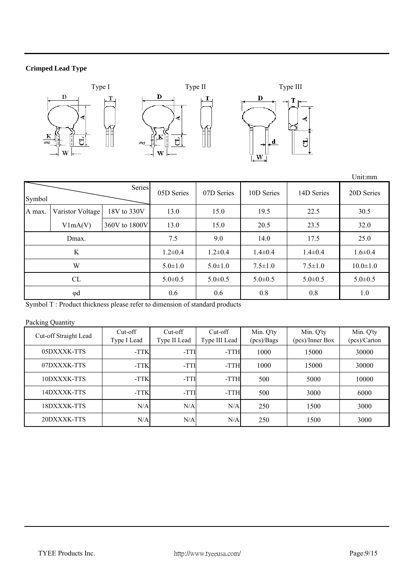### **Crimped Lead Type**





|        |                  |               |               |               |               |                | Unit:mm       |
|--------|------------------|---------------|---------------|---------------|---------------|----------------|---------------|
| Symbol |                  | Series        | 05D Series    | 07D Series    | 10D Series    | 14D Series     | 20D Series    |
| A max. | Varistor Voltage | 18V to 330V   | 13.0          | 15.0          | 19.5          | 22.5           | 30.5          |
|        | V1mA(V)          | 360V to 1800V | 13.0          | 15.0          | 20.5          | 23.5           | 32.0          |
| Dmax.  |                  |               | 7.5           | 9.0           | 14.0          | 17.5           | 25.0          |
|        | K                |               | $1.2 \pm 0.4$ | $1.2 \pm 0.4$ | $1.4 \pm 0.4$ | $1.4 \pm 0.4$  | $1.6 \pm 0.4$ |
| W      |                  | $5.0 \pm 1.0$ | $5.0 \pm 1.0$ | $7.5 \pm 1.0$ | $7.5 \pm 1.0$ | $10.0 \pm 1.0$ |               |
| CL     |                  | $5.0 \pm 0.5$ | $5.0 \pm 0.5$ | $5.0 \pm 0.5$ | $5.0 \pm 0.5$ | $5.0 \pm 0.5$  |               |
|        | $\varphi$ d      |               | 0.6           | 0.6           | 0.8           | 0.8            | 1.0           |

Symbol T : Product thickness please refer to dimension of standard products

#### Packing Quantity

| Cut-off Straight Lead | $Cut-off$<br>Type I Lead | $Cut-off$<br>Type II Lead | Cut-off<br>Type III Lead | Min. Q'ty<br>(pcs)/Bags | Min. Q'ty<br>(pcs)/Inner Box | Min. Q'ty<br>(pcs)/Carton |
|-----------------------|--------------------------|---------------------------|--------------------------|-------------------------|------------------------------|---------------------------|
| 05DXXXK-TTS           | -TTK                     | -TTI                      | -TTH                     | 1000                    | 15000                        | 30000                     |
| 07DXXXK-TTS           | -TTK                     | -TTI                      | -TTH                     | 1000                    | 15000                        | 30000                     |
| 10DXXXK-TTS           | -TTK                     | -TTI                      | -TTH                     | 500                     | 5000                         | 10000                     |
| 14DXXXK-TTS           | -TTK                     | -TTI                      | -TTH                     | 500                     | 3000                         | 6000                      |
| 18DXXXK-TTS           | N/A                      | N/A                       | N/A                      | 250                     | 1500                         | 3000                      |
| 20DXXXK-TTS           | N/A                      | N/A                       | N/A                      | 250                     | 1500                         | 3000                      |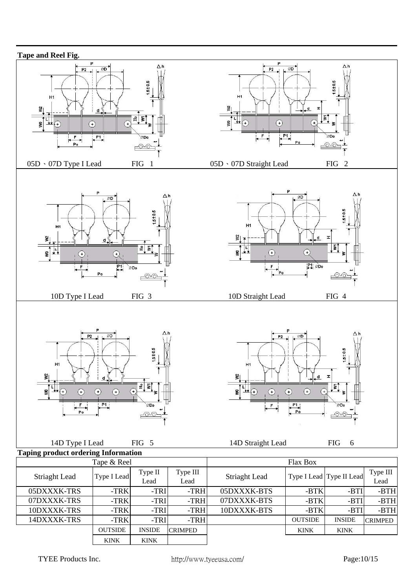

| Striaght Lead | Type I Lead    | Type II<br>Lead   | Type III<br>Lead | Striaght Lead |                | Type I Lead Type II Lead | Type III<br>Lead |
|---------------|----------------|-------------------|------------------|---------------|----------------|--------------------------|------------------|
| 05DXXXK-TRS   | -TRK           | -TRI <sup>I</sup> | -TRH             | 05DXXXK-BTS   | -BTK           | -BTI                     | -BTH             |
| 07DXXXK-TRS   | -TRK           | -TRI              | -TRH             | 07DXXXK-BTS   | $-BTK$         | -BTI                     | -BTH             |
| 10DXXXK-TRS   | -TRK           | -TRI              | -TRH             | 10DXXXK-BTS   | -BTK           | -BTI                     | -BTH             |
| 14DXXXK-TRS   | -TRK           | -TRI              | -TRH             |               | <b>OUTSIDE</b> | <b>INSIDE</b>            | <b>CRIMPED</b>   |
|               | <b>OUTSIDE</b> | <b>INSIDE</b>     | <b>CRIMPED</b>   |               | <b>KINK</b>    | <b>KINK</b>              |                  |
|               | <b>KINK</b>    | <b>KINK</b>       |                  |               |                |                          |                  |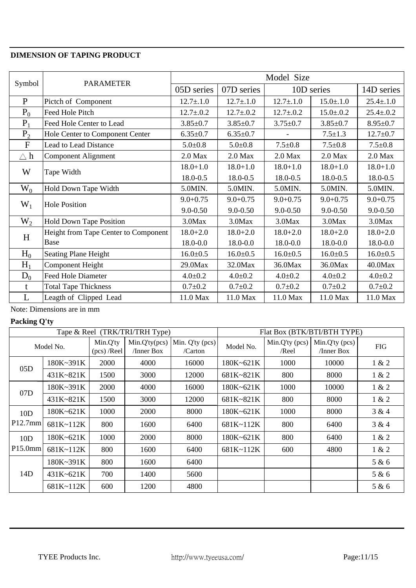## **DIMENSION OF TAPING PRODUCT**

|               | <b>PARAMETER</b>                     | Model Size     |                |                          |                 |                 |  |
|---------------|--------------------------------------|----------------|----------------|--------------------------|-----------------|-----------------|--|
| Symbol        |                                      | 05D series     | 07D series     |                          | 10D series      |                 |  |
| $\mathbf{P}$  | Pictch of Component                  | $12.7 \pm 1.0$ | $12.7 \pm 1.0$ | $12.7 \pm 1.0$           | $15.0 \pm 1.0$  | $25.4 \pm .1.0$ |  |
| $P_0$         | Feed Hole Pitch                      | $12.7 \pm 0.2$ | $12.7 \pm 0.2$ | $12.7 \pm 0.2$           | $15.0 \pm .0.2$ | $25.4 \pm 0.2$  |  |
| $P_1$         | Feed Hole Center to Lead             | $3.85 \pm 0.7$ | $3.85 \pm 0.7$ | $3.75 \pm 0.7$           | $3.85 \pm 0.7$  | $8.95 \pm 0.7$  |  |
| $P_2$         | Hole Center to Component Center      | $6.35 \pm 0.7$ | $6.35 \pm 0.7$ | $\overline{\phantom{a}}$ | $7.5 \pm 1.3$   | $12.7 \pm 0.7$  |  |
| $\mathbf{F}$  | <b>Lead to Lead Distance</b>         | $5.0 + 0.8$    | $5.0 \pm 0.8$  | $7.5 \pm 0.8$            | $7.5 \pm 0.8$   | $7.5 \pm 0.8$   |  |
| $\triangle$ h | <b>Component Alignment</b>           | $2.0$ Max      | $2.0$ Max      | $2.0$ Max                | $2.0$ Max       | $2.0$ Max       |  |
| W             | Tape Width                           | $18.0 + 1.0$   | $18.0 + 1.0$   | $18.0 + 1.0$             | $18.0 + 1.0$    | $18.0 + 1.0$    |  |
|               |                                      | 18.0-0.5       | 18.0-0.5       | 18.0-0.5                 | 18.0-0.5        | 18.0-0.5        |  |
| $W_0$         | Hold Down Tape Width                 | 5.0MIN.        | 5.0MIN.        | 5.0MIN.                  | 5.0MIN.         | 5.0MIN.         |  |
| $W_1$         | <b>Hole Position</b>                 | $9.0 + 0.75$   | $9.0 + 0.75$   | $9.0 + 0.75$             | $9.0 + 0.75$    | $9.0 + 0.75$    |  |
|               |                                      | $9.0 - 0.50$   | $9.0 - 0.50$   | $9.0 - 0.50$             | $9.0 - 0.50$    | $9.0 - 0.50$    |  |
| $W_2$         | <b>Hold Down Tape Position</b>       | 3.0Max         | 3.0Max         | 3.0Max                   | 3.0Max          | 3.0Max          |  |
| H             | Height from Tape Center to Component | $18.0 + 2.0$   | $18.0 + 2.0$   | $18.0 + 2.0$             | $18.0 + 2.0$    | $18.0 + 2.0$    |  |
|               | Base                                 | 18.0-0.0       | 18.0-0.0       | 18.0-0.0                 | 18.0-0.0        | 18.0-0.0        |  |
| $H_0$         | <b>Seating Plane Height</b>          | $16.0 \pm 0.5$ | $16.0 \pm 0.5$ | $16.0 \pm 0.5$           | $16.0 \pm 0.5$  | $16.0 \pm 0.5$  |  |
| $H_1$         | <b>Component Height</b>              | 29.0Max        | 32.0Max        | 36.0Max                  | 36.0Max         | 40.0Max         |  |
| $D_0$         | <b>Feed Hole Diameter</b>            | $4.0 + 0.2$    | $4.0 + 0.2$    | $4.0 \pm 0.2$            | $4.0 \pm 0.2$   | $4.0 + 0.2$     |  |
| t             | <b>Total Tape Thickness</b>          | $0.7 + 0.2$    | $0.7 + 0.2$    | $0.7 + 0.2$              | $0.7 + 0.2$     | $0.7 + 0.2$     |  |
| L             | Leagth of Clipped Lead               | 11.0 Max       | 11.0 Max       | 11.0 Max                 | 11.0 Max        | 11.0 Max        |  |

Note: Dimensions are in mm

## **Packing Q'ty**

| Tape & Reel (TRK/TRI/TRH Type) |           |                           |                             | Flat Box (BTK/BTI/BTH TYPE) |           |                         |                                    |            |
|--------------------------------|-----------|---------------------------|-----------------------------|-----------------------------|-----------|-------------------------|------------------------------------|------------|
|                                | Model No. | Min.Q'ty<br>$(pcs)$ /Reel | Min.Q'ty(pcs)<br>/Inner Box | Min. Q'ty (pcs)<br>/Carton  | Model No. | Min.Q'ty (pcs)<br>/Reel | $Min.Q'$ ty (pcs)<br>$/$ Inner Box | <b>FIG</b> |
| 05D                            | 180K~391K | 2000                      | 4000                        | 16000                       | 180K~621K | 1000                    | 10000                              | 1 & 2      |
|                                | 431K~821K | 1500                      | 3000                        | 12000                       | 681K~821K | 800                     | 8000                               | 1 & 2      |
| 07 <sub>D</sub>                | 180K~391K | 2000                      | 4000                        | 16000                       | 180K~621K | 1000                    | 10000                              | 1 & 2      |
|                                | 431K~821K | 1500                      | 3000                        | 12000                       | 681K~821K | 800                     | 8000                               | 1 & 2      |
| 10D                            | 180K~621K | 1000                      | 2000                        | 8000                        | 180K~621K | 1000                    | 8000                               | 3 & 4      |
| P12.7mm                        | 681K~112K | 800                       | 1600                        | 6400                        | 681K~112K | 800                     | 6400                               | 3 & 4      |
| 10D                            | 180K~621K | 1000                      | 2000                        | 8000                        | 180K~621K | 800                     | 6400                               | 1 & 2      |
| P15.0mm                        | 681K~112K | 800                       | 1600                        | 6400                        | 681K~112K | 600                     | 4800                               | 1 & 2      |
|                                | 180K~391K | 800                       | 1600                        | 6400                        |           |                         |                                    | 5 & 6      |
| 14D                            | 431K~621K | 700                       | 1400                        | 5600                        |           |                         |                                    | 5 & 6      |
|                                | 681K~112K | 600                       | 1200                        | 4800                        |           |                         |                                    | 5 & 6      |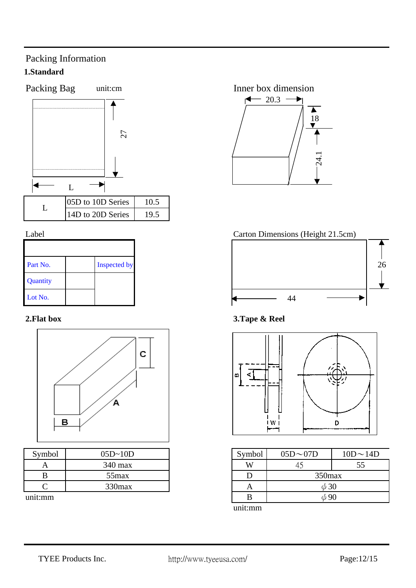# **1.Standard**  Packing Information



| Part No. | <b>Inspected by</b> |
|----------|---------------------|
| Quantity |                     |
| Lot No.  |                     |



| Symbol | $05D-10D$         | Symbol |
|--------|-------------------|--------|
|        | $340 \text{ max}$ |        |
|        | 55 <sub>max</sub> |        |
|        | $330$ max         |        |
|        |                   |        |

unit:mm



Label Carton Dimensions (Height 21.5cm)



# **2.Flat box 3.Tape & Reel**



| Symbol    | $05D\!\sim\!07D$ | $10D \sim 14D$ |  |  |  |
|-----------|------------------|----------------|--|--|--|
|           |                  | 55             |  |  |  |
| ו ו       | 350max           |                |  |  |  |
|           | $\phi$ 30        |                |  |  |  |
|           | $\phi$ 90        |                |  |  |  |
| $\bullet$ |                  |                |  |  |  |

unit:mm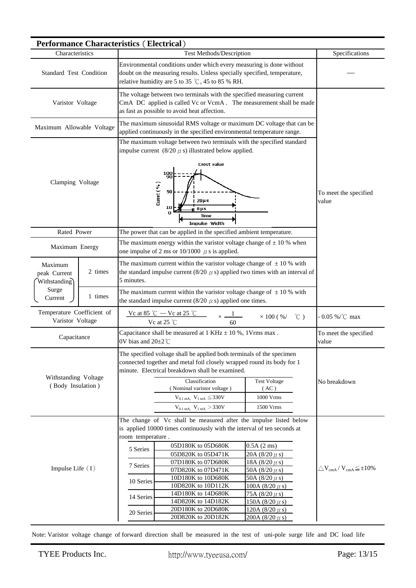|                                                |                                                                                                                                                                                                                                                                                                                                             | <b>Performance Characteristics (Electrical)</b>                                                                                                                                                                                                                                                                                                                                                                                                                                                                                                                                                                                                                                                        |                                                                 |  |
|------------------------------------------------|---------------------------------------------------------------------------------------------------------------------------------------------------------------------------------------------------------------------------------------------------------------------------------------------------------------------------------------------|--------------------------------------------------------------------------------------------------------------------------------------------------------------------------------------------------------------------------------------------------------------------------------------------------------------------------------------------------------------------------------------------------------------------------------------------------------------------------------------------------------------------------------------------------------------------------------------------------------------------------------------------------------------------------------------------------------|-----------------------------------------------------------------|--|
| Characteristics                                |                                                                                                                                                                                                                                                                                                                                             | Test Methods/Description                                                                                                                                                                                                                                                                                                                                                                                                                                                                                                                                                                                                                                                                               | Specifications                                                  |  |
| <b>Standard Test Condition</b>                 |                                                                                                                                                                                                                                                                                                                                             | Environmental conditions under which every measuring is done without<br>doubt on the measuring results. Unless specially specified, temperature,<br>relative humidity are 5 to 35 °C, 45 to 85 % RH.                                                                                                                                                                                                                                                                                                                                                                                                                                                                                                   |                                                                 |  |
| Varistor Voltage                               |                                                                                                                                                                                                                                                                                                                                             | The voltage between two terminals with the specified measuring current<br>CmA DC applied is called Vc or VcmA. The measurement shall be made<br>as fast as possible to avoid heat affection.                                                                                                                                                                                                                                                                                                                                                                                                                                                                                                           |                                                                 |  |
| Maximum Allowable Voltage                      |                                                                                                                                                                                                                                                                                                                                             | The maximum sinusoidal RMS voltage or maximum DC voltage that can be<br>applied continuously in the specified environmental temperature range.                                                                                                                                                                                                                                                                                                                                                                                                                                                                                                                                                         |                                                                 |  |
|                                                | The maximum voltage between two terminals with the specified standard<br>impulse current $(8/20 \ \mu s)$ illustrated below applied.<br><b>Crest value</b><br><sup>100</sup> 90<br>Clamping Voltage<br>Curret (%)<br>50<br>To meet the specified<br>$20 \,\mu s$<br>value<br>10<br>$8 \mu s$<br>$\mathbf 0$<br>Time<br><b>Impulse Width</b> |                                                                                                                                                                                                                                                                                                                                                                                                                                                                                                                                                                                                                                                                                                        |                                                                 |  |
| Rated Power                                    |                                                                                                                                                                                                                                                                                                                                             | The power that can be applied in the specified ambient temperature.                                                                                                                                                                                                                                                                                                                                                                                                                                                                                                                                                                                                                                    |                                                                 |  |
| Maximum Energy                                 |                                                                                                                                                                                                                                                                                                                                             | The maximum energy within the varistor voltage change of $\pm$ 10 % when<br>one impulse of 2 ms or 10/1000 $\mu$ s is applied.                                                                                                                                                                                                                                                                                                                                                                                                                                                                                                                                                                         |                                                                 |  |
| Maximum<br>peak Current<br>Withstanding        | 2 times                                                                                                                                                                                                                                                                                                                                     | The maximum current within the varistor voltage change of $\pm 10$ % with<br>the standard impulse current (8/20 $\mu$ s) applied two times with an interval of<br>5 minutes.                                                                                                                                                                                                                                                                                                                                                                                                                                                                                                                           |                                                                 |  |
| Surge<br>Current                               | 1 times                                                                                                                                                                                                                                                                                                                                     | The maximum current within the varistor voltage change of $\pm 10$ % with<br>the standard impulse current (8/20 $\mu$ s) applied one times.                                                                                                                                                                                                                                                                                                                                                                                                                                                                                                                                                            |                                                                 |  |
| Temperature Coefficient of<br>Varistor Voltage |                                                                                                                                                                                                                                                                                                                                             | Vc at 85 $\degree$ C — Vc at 25 $\degree$ C<br>$\times$ 100 ( %/ $\degree$ C )<br>Vc at 25 $\degree$ C                                                                                                                                                                                                                                                                                                                                                                                                                                                                                                                                                                                                 | $-0.05\%$ /°C max                                               |  |
| Capacitance                                    |                                                                                                                                                                                                                                                                                                                                             | Capacitance shall be measured at $1$ KHz $\pm$ 10 %, 1Vrms max.<br>OV bias and $20\pm2^{\circ}$ C                                                                                                                                                                                                                                                                                                                                                                                                                                                                                                                                                                                                      | To meet the specified<br>value                                  |  |
| Withstanding Voltage<br>(Body Insulation)      |                                                                                                                                                                                                                                                                                                                                             | The specified voltage shall be applied both terminals of the specimen<br>connected together and metal foil closely wrapped round its body for 1<br>minute. Electrical breakdown shall be examined.<br>Classification<br><b>Test Voltage</b><br>(Nominal varistor voltage)<br>(AC)<br>$V_{0.1 \text{ mA}}$ , $V_{1 \text{ mA}} \leq 330V$<br>1000 Vrms<br>$V_{0.1 \text{ mA}}$ , $V_{1 \text{ mA}} > 330V$<br>1500 Vrms                                                                                                                                                                                                                                                                                 | No breakdown                                                    |  |
|                                                |                                                                                                                                                                                                                                                                                                                                             |                                                                                                                                                                                                                                                                                                                                                                                                                                                                                                                                                                                                                                                                                                        |                                                                 |  |
| Impulse Life $(I)$                             |                                                                                                                                                                                                                                                                                                                                             | The change of Vc shall be measured after the impulse listed below<br>is applied 10000 times continuously with the interval of ten seconds at<br>room temperature.<br>05D180K to 05D680K<br>$0.5A(2 \text{ ms})$<br>5 Series<br>05D820K to 05D471K<br>20A $(8/20 \mu s)$<br>07D180K to 07D680K<br>$18A (8/20 \mu s)$<br>7 Series<br>07D820K to 07D471K<br>50A $(8/20 \,\mu s)$<br>10D180K to 10D680K<br>50A $(8/20 \,\mu s)$<br>10 Series<br>10D820K to 10D112K<br>100A $(8/20 \mu s)$<br>14D180K to 14D680K<br>75A $(8/20 \,\mu s)$<br>14 Series<br>14D820K to 14D182K<br>150A (8/20 $\mu$ s)<br>20D180K to 20D680K<br>120A $(8/20 \mu s)$<br>20 Series<br>20D820K to 20D182K<br>200A $(8/20 \,\mu s)$ | $\triangle$ V <sub>cmA</sub> / V <sub>cmA</sub> $\leq \pm 10\%$ |  |

Note: Varistor voltage change of forward direction shall be measured in the test of uni-pole surge life and DC load life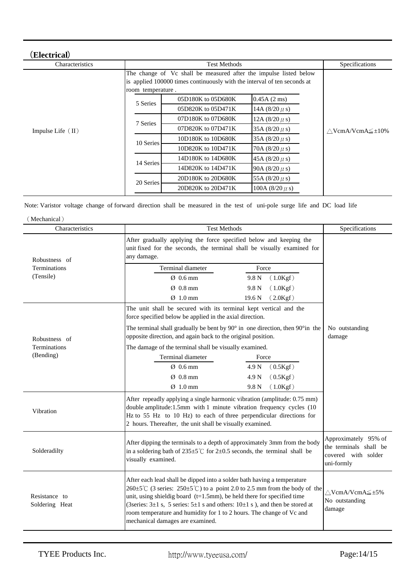| Characteristics     |           | Specifications                                                                                                                                                     |                       |                                    |  |  |
|---------------------|-----------|--------------------------------------------------------------------------------------------------------------------------------------------------------------------|-----------------------|------------------------------------|--|--|
|                     |           | The change of Vc shall be measured after the impulse listed below<br>is applied 100000 times continuously with the interval of ten seconds at<br>room temperature. |                       |                                    |  |  |
|                     | 5 Series  | 05D180K to 05D680K                                                                                                                                                 | $0.45A(2 \text{ ms})$ |                                    |  |  |
|                     |           | 05D820K to 05D471K                                                                                                                                                 | 14A $(8/20 \,\mu s)$  |                                    |  |  |
|                     | 7 Series  | 07D180K to 07D680K                                                                                                                                                 | 12A $(8/20 \mu s)$    |                                    |  |  |
| Impulse Life $(II)$ |           | 07D820K to 07D471K                                                                                                                                                 | 35A $(8/20 \mu s)$    | $\wedge$ VcmA/VcmA $\leq \pm 10\%$ |  |  |
|                     | 10 Series | 10D180K to 10D680K                                                                                                                                                 | 35A $(8/20 \mu s)$    |                                    |  |  |
|                     |           | 10D820K to 10D471K                                                                                                                                                 | 70A $(8/20 \mu s)$    |                                    |  |  |
|                     | 14 Series | 14D180K to 14D680K                                                                                                                                                 | 45A $(8/20 \mu s)$    |                                    |  |  |
|                     |           | 14D820K to 14D471K                                                                                                                                                 | 90A $(8/20 \mu s)$    |                                    |  |  |
|                     | 20 Series | 20D180K to 20D680K                                                                                                                                                 | 55A $(8/20 \mu s)$    |                                    |  |  |
|                     |           | 20D820K to 20D471K                                                                                                                                                 | 100A $(8/20 \mu s)$   |                                    |  |  |

Note: Varistor voltage change of forward direction shall be measured in the test of uni-pole surge life and DC load life

(Mechanical) Approximately 95% of the terminals shall be covered with solder uni-formly Resistance to Soldering Heat After each lead shall be dipped into a solder bath having a temperature  $260\pm5^{\circ}$  (3 series:  $250\pm5^{\circ}$ ) to a point 2.0 to 2.5 mm from the body of the unit, using shieldig board  $(t=1.5mm)$ , be held there for specified time (3series:  $3\pm 1$  s, 5 series:  $5\pm 1$  s and others:  $10\pm 1$  s), and then be stored at room temperature and humidity for 1 to 2 hours. The change of Vc and mechanical damages are examined. △VcmA/VcmA≦±5% No outstanding damage Vibration After repeadly applying a single harmonic vibration (amplitude: 0.75 mm) double amplitude:1.5mm with 1 minute vibration frequency cycles (10 Hz to 55 Hz to 10 Hz) to each of three perpendicular directions for 2 hours. Thereafter, the unit shall be visually examined. Solderadilty After dipping the terminals to a depth of approximately 3mm from the body in a soldering bath of  $235\pm5^{\circ}$  for  $2\pm0.5$  seconds, the terminal shall be visually examined. Robustness of Terminations (Bending) The unit shall be secured with its terminal kept vertical and the force specified below be applied in the axial direction. The terminal shall gradually be bent by  $90^\circ$  in one direction, then  $90^\circ$ in the opposite direction, and again back to the original position. The damage of the terminal shall be visually examined. Terminal diameter Force  $\emptyset$  0.6 mm 4.9 N (0.5Kgf) Ø 0.8 mm 4.9 N (0.5Kgf)  $\varnothing$  1.0 mm 9.8 N (1.0Kgf) Characteristics Test Methods Test Methods Specifications Robustness of Terminations (Tensile) After gradually applying the force specified below and keeping the unit fixed for the seconds, the terminal shall be visually examined for any damage. No outstanding damage Terminal diameter Force  $\emptyset$  0.6 mm 9.8 N (1.0Kgf)  $\emptyset$  0.8 mm 9.8 N (1.0Kgf)  $\emptyset$  1.0 mm 19.6 N (2.0Kgf)